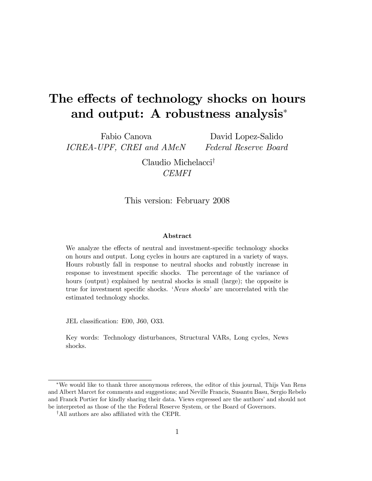# The effects of technology shocks on hours and output: A robustness analysis<sup>∗</sup>

Fabio Canova ICREA-UPF, CREI and AMeN

David Lopez-Salido Federal Reserve Board

Claudio Michelacci† CEMFI

#### This version: February 2008

#### Abstract

We analyze the effects of neutral and investment-specific technology shocks on hours and output. Long cycles in hours are captured in a variety of ways. Hours robustly fall in response to neutral shocks and robustly increase in response to investment specific shocks. The percentage of the variance of hours (output) explained by neutral shocks is small (large); the opposite is true for investment specific shocks. 'News shocks' are uncorrelated with the estimated technology shocks.

JEL classification: E00, J60, O33.

Key words: Technology disturbances, Structural VARs, Long cycles, News shocks.

<sup>∗</sup>We would like to thank three anonymous referees, the editor of this journal, Thijs Van Rens and Albert Marcet for comments and suggestions; and Neville Francis, Susantu Basu, Sergio Rebelo and Franck Portier for kindly sharing their data. Views expressed are the authors' and should not be interpreted as those of the the Federal Reserve System, or the Board of Governors.

<sup>†</sup>All authors are also affiliated with the CEPR.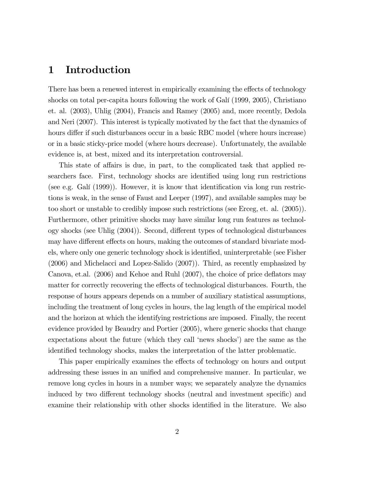#### 1 Introduction

There has been a renewed interest in empirically examining the effects of technology shocks on total per-capita hours following the work of Galí (1999, 2005), Christiano et. al. (2003), Uhlig (2004), Francis and Ramey (2005) and, more recently, Dedola and Neri (2007). This interest is typically motivated by the fact that the dynamics of hours differ if such disturbances occur in a basic RBC model (where hours increase) or in a basic sticky-price model (where hours decrease). Unfortunately, the available evidence is, at best, mixed and its interpretation controversial.

This state of affairs is due, in part, to the complicated task that applied researchers face. First, technology shocks are identified using long run restrictions (see e.g. Galí (1999)). However, it is know that identification via long run restrictions is weak, in the sense of Faust and Leeper (1997), and available samples may be too short or unstable to credibly impose such restrictions (see Erceg, et. al. (2005)). Furthermore, other primitive shocks may have similar long run features as technology shocks (see Uhlig (2004)). Second, different types of technological disturbances may have different effects on hours, making the outcomes of standard bivariate models, where only one generic technology shock is identified, uninterpretable (see Fisher (2006) and Michelacci and Lopez-Salido (2007)). Third, as recently emphasized by Canova, et.al. (2006) and Kehoe and Ruhl (2007), the choice of price deflators may matter for correctly recovering the effects of technological disturbances. Fourth, the response of hours appears depends on a number of auxiliary statistical assumptions, including the treatment of long cycles in hours, the lag length of the empirical model and the horizon at which the identifying restrictions are imposed. Finally, the recent evidence provided by Beaudry and Portier (2005), where generic shocks that change expectations about the future (which they call 'news shocks') are the same as the identified technology shocks, makes the interpretation of the latter problematic.

This paper empirically examines the effects of technology on hours and output addressing these issues in an unified and comprehensive manner. In particular, we remove long cycles in hours in a number ways; we separately analyze the dynamics induced by two different technology shocks (neutral and investment specific) and examine their relationship with other shocks identified in the literature. We also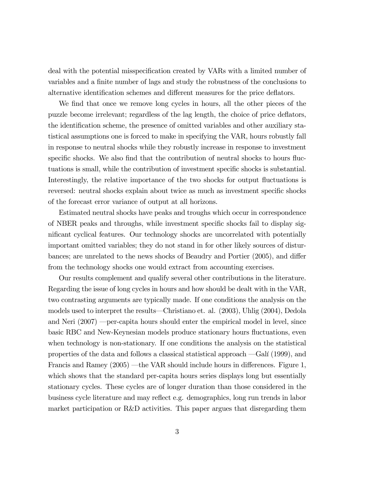deal with the potential misspecification created by VARs with a limited number of variables and a finite number of lags and study the robustness of the conclusions to alternative identification schemes and different measures for the price deflators.

We find that once we remove long cycles in hours, all the other pieces of the puzzle become irrelevant; regardless of the lag length, the choice of price deflators, the identification scheme, the presence of omitted variables and other auxiliary statistical assumptions one is forced to make in specifying the VAR, hours robustly fall in response to neutral shocks while they robustly increase in response to investment specific shocks. We also find that the contribution of neutral shocks to hours fluctuations is small, while the contribution of investment specific shocks is substantial. Interestingly, the relative importance of the two shocks for output fluctuations is reversed: neutral shocks explain about twice as much as investment specific shocks of the forecast error variance of output at all horizons.

Estimated neutral shocks have peaks and troughs which occur in correspondence of NBER peaks and throughs, while investment specific shocks fail to display significant cyclical features. Our technology shocks are uncorrelated with potentially important omitted variables; they do not stand in for other likely sources of disturbances; are unrelated to the news shocks of Beaudry and Portier (2005), and differ from the technology shocks one would extract from accounting exercises.

Our results complement and qualify several other contributions in the literature. Regarding the issue of long cycles in hours and how should be dealt with in the VAR, two contrasting arguments are typically made. If one conditions the analysis on the models used to interpret the results–Christiano et. al. (2003), Uhlig (2004), Dedola and Neri (2007) –per-capita hours should enter the empirical model in level, since basic RBC and New-Keynesian models produce stationary hours fluctuations, even when technology is non-stationary. If one conditions the analysis on the statistical properties of the data and follows a classical statistical approach –Galí (1999), and Francis and Ramey (2005) —the VAR should include hours in differences. Figure 1, which shows that the standard per-capita hours series displays long but essentially stationary cycles. These cycles are of longer duration than those considered in the business cycle literature and may reflect e.g. demographics, long run trends in labor market participation or R&D activities. This paper argues that disregarding them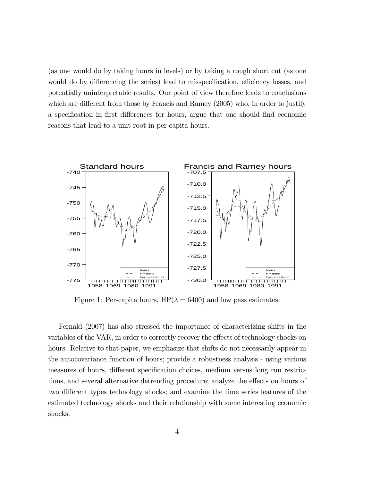(as one would do by taking hours in levels) or by taking a rough short cut (as one would do by differencing the series) lead to misspecification, efficiency losses, and potentially uninterpretable results. Our point of view therefore leads to conclusions which are different from those by Francis and Ramey (2005) who, in order to justify a specification in first differences for hours, argue that one should find economic reasons that lead to a unit root in per-capita hours.



Figure 1: Per-capita hours,  $HP(\lambda = 6400)$  and low pass estimates.

Fernald (2007) has also stressed the importance of characterizing shifts in the variables of the VAR, in order to correctly recover the effects of technology shocks on hours. Relative to that paper, we emphasize that shifts do not necessarily appear in the autocovariance function of hours; provide a robustness analysis - using various measures of hours, different specification choices, medium versus long run restrictions, and several alternative detrending procedure; analyze the effects on hours of two different types technology shocks; and examine the time series features of the estimated technology shocks and their relationship with some interesting economic shocks.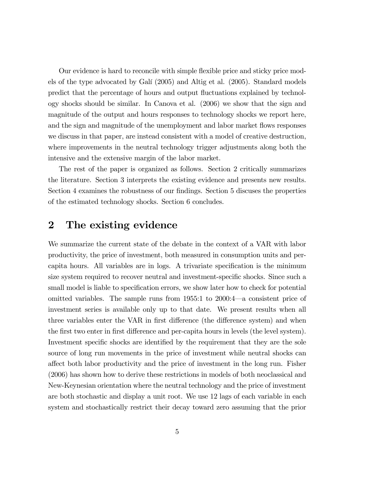Our evidence is hard to reconcile with simple flexible price and sticky price models of the type advocated by Galí (2005) and Altig et al. (2005). Standard models predict that the percentage of hours and output fluctuations explained by technology shocks should be similar. In Canova et al. (2006) we show that the sign and magnitude of the output and hours responses to technology shocks we report here, and the sign and magnitude of the unemployment and labor market flows responses we discuss in that paper, are instead consistent with a model of creative destruction, where improvements in the neutral technology trigger adjustments along both the intensive and the extensive margin of the labor market.

The rest of the paper is organized as follows. Section 2 critically summarizes the literature. Section 3 interprets the existing evidence and presents new results. Section 4 examines the robustness of our findings. Section 5 discuses the properties of the estimated technology shocks. Section 6 concludes.

## 2 The existing evidence

We summarize the current state of the debate in the context of a VAR with labor productivity, the price of investment, both measured in consumption units and percapita hours. All variables are in logs. A trivariate specification is the minimum size system required to recover neutral and investment-specific shocks. Since such a small model is liable to specification errors, we show later how to check for potential omitted variables. The sample runs from 1955:1 to 2000:4–a consistent price of investment series is available only up to that date. We present results when all three variables enter the VAR in first difference (the difference system) and when the first two enter in first difference and per-capita hours in levels (the level system). Investment specific shocks are identified by the requirement that they are the sole source of long run movements in the price of investment while neutral shocks can affect both labor productivity and the price of investment in the long run. Fisher (2006) has shown how to derive these restrictions in models of both neoclassical and New-Keynesian orientation where the neutral technology and the price of investment are both stochastic and display a unit root. We use 12 lags of each variable in each system and stochastically restrict their decay toward zero assuming that the prior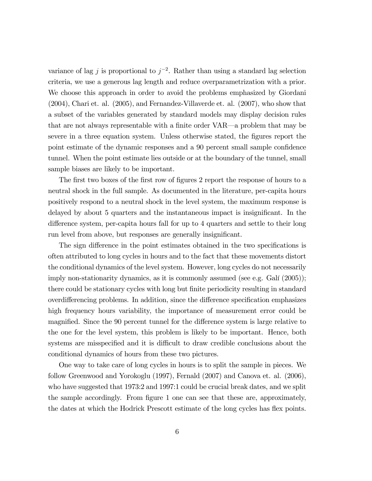variance of lag j is proportional to  $j^{-2}$ . Rather than using a standard lag selection criteria, we use a generous lag length and reduce overparametrization with a prior. We choose this approach in order to avoid the problems emphasized by Giordani (2004), Chari et. al. (2005), and Fernandez-Villaverde et. al. (2007), who show that a subset of the variables generated by standard models may display decision rules that are not always representable with a finite order VAR–a problem that may be severe in a three equation system. Unless otherwise stated, the figures report the point estimate of the dynamic responses and a 90 percent small sample confidence tunnel. When the point estimate lies outside or at the boundary of the tunnel, small sample biases are likely to be important.

The first two boxes of the first row of figures 2 report the response of hours to a neutral shock in the full sample. As documented in the literature, per-capita hours positively respond to a neutral shock in the level system, the maximum response is delayed by about 5 quarters and the instantaneous impact is insignificant. In the difference system, per-capita hours fall for up to 4 quarters and settle to their long run level from above, but responses are generally insignificant.

The sign difference in the point estimates obtained in the two specifications is often attributed to long cycles in hours and to the fact that these movements distort the conditional dynamics of the level system. However, long cycles do not necessarily imply non-stationarity dynamics, as it is commonly assumed (see e.g. Galí (2005)); there could be stationary cycles with long but finite periodicity resulting in standard overdifferencing problems. In addition, since the difference specification emphasizes high frequency hours variability, the importance of measurement error could be magnified. Since the 90 percent tunnel for the difference system is large relative to the one for the level system, this problem is likely to be important. Hence, both systems are misspecified and it is difficult to draw credible conclusions about the conditional dynamics of hours from these two pictures.

One way to take care of long cycles in hours is to split the sample in pieces. We follow Greenwood and Yorokoglu (1997), Fernald (2007) and Canova et. al. (2006), who have suggested that 1973:2 and 1997:1 could be crucial break dates, and we split the sample accordingly. From figure 1 one can see that these are, approximately, the dates at which the Hodrick Prescott estimate of the long cycles has flex points.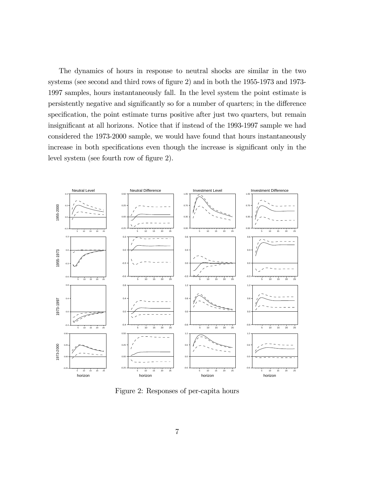The dynamics of hours in response to neutral shocks are similar in the two systems (see second and third rows of figure 2) and in both the 1955-1973 and 1973- 1997 samples, hours instantaneously fall. In the level system the point estimate is persistently negative and significantly so for a number of quarters; in the difference specification, the point estimate turns positive after just two quarters, but remain insignificant at all horizons. Notice that if instead of the 1993-1997 sample we had considered the 1973-2000 sample, we would have found that hours instantaneously increase in both specifications even though the increase is significant only in the level system (see fourth row of figure 2).



Figure 2: Responses of per-capita hours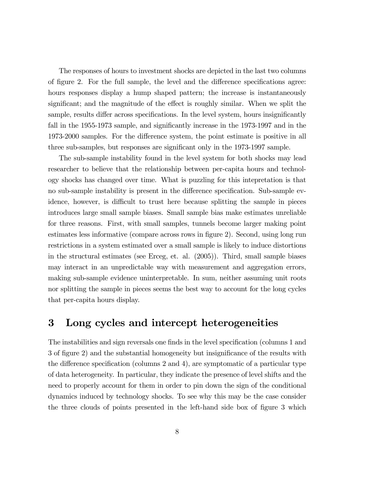The responses of hours to investment shocks are depicted in the last two columns of figure 2. For the full sample, the level and the difference specifications agree: hours responses display a hump shaped pattern; the increase is instantaneously significant; and the magnitude of the effect is roughly similar. When we split the sample, results differ across specifications. In the level system, hours insignificantly fall in the 1955-1973 sample, and significantly increase in the 1973-1997 and in the 1973-2000 samples. For the difference system, the point estimate is positive in all three sub-samples, but responses are significant only in the 1973-1997 sample.

The sub-sample instability found in the level system for both shocks may lead researcher to believe that the relationship between per-capita hours and technology shocks has changed over time. What is puzzling for this intepretation is that no sub-sample instability is present in the difference specification. Sub-sample evidence, however, is difficult to trust here because splitting the sample in pieces introduces large small sample biases. Small sample bias make estimates unreliable for three reasons. First, with small samples, tunnels become larger making point estimates less informative (compare across rows in figure 2). Second, using long run restrictions in a system estimated over a small sample is likely to induce distortions in the structural estimates (see Erceg, et. al. (2005)). Third, small sample biases may interact in an unpredictable way with measurement and aggregation errors, making sub-sample evidence uninterpretable. In sum, neither assuming unit roots nor splitting the sample in pieces seems the best way to account for the long cycles that per-capita hours display.

#### 3 Long cycles and intercept heterogeneities

The instabilities and sign reversals one finds in the level specification (columns 1 and 3 of figure 2) and the substantial homogeneity but insignificance of the results with the difference specification (columns 2 and 4), are symptomatic of a particular type of data heterogeneity. In particular, they indicate the presence of level shifts and the need to properly account for them in order to pin down the sign of the conditional dynamics induced by technology shocks. To see why this may be the case consider the three clouds of points presented in the left-hand side box of figure 3 which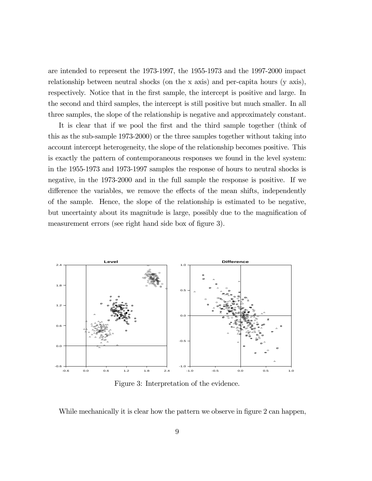are intended to represent the 1973-1997, the 1955-1973 and the 1997-2000 impact relationship between neutral shocks (on the x axis) and per-capita hours (y axis), respectively. Notice that in the first sample, the intercept is positive and large. In the second and third samples, the intercept is still positive but much smaller. In all three samples, the slope of the relationship is negative and approximately constant.

It is clear that if we pool the first and the third sample together (think of this as the sub-sample 1973-2000) or the three samples together without taking into account intercept heterogeneity, the slope of the relationship becomes positive. This is exactly the pattern of contemporaneous responses we found in the level system: in the 1955-1973 and 1973-1997 samples the response of hours to neutral shocks is negative, in the 1973-2000 and in the full sample the response is positive. If we difference the variables, we remove the effects of the mean shifts, independently of the sample. Hence, the slope of the relationship is estimated to be negative, but uncertainty about its magnitude is large, possibly due to the magnification of measurement errors (see right hand side box of figure 3).



Figure 3: Interpretation of the evidence.

While mechanically it is clear how the pattern we observe in figure 2 can happen,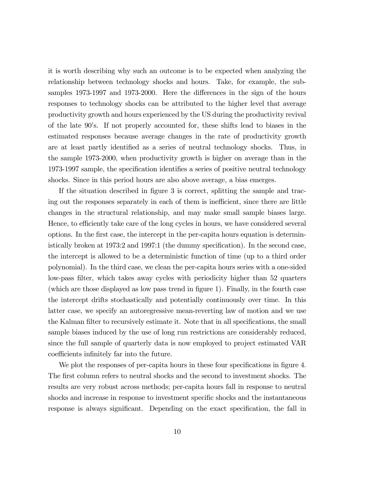it is worth describing why such an outcome is to be expected when analyzing the relationship between technology shocks and hours. Take, for example, the subsamples 1973-1997 and 1973-2000. Here the differences in the sign of the hours responses to technology shocks can be attributed to the higher level that average productivity growth and hours experienced by the US during the productivity revival of the late 90's. If not properly accounted for, these shifts lead to biases in the estimated responses because average changes in the rate of productivity growth are at least partly identified as a series of neutral technology shocks. Thus, in the sample 1973-2000, when productivity growth is higher on average than in the 1973-1997 sample, the specification identifies a series of positive neutral technology shocks. Since in this period hours are also above average, a bias emerges.

If the situation described in figure 3 is correct, splitting the sample and tracing out the responses separately in each of them is inefficient, since there are little changes in the structural relationship, and may make small sample biases large. Hence, to efficiently take care of the long cycles in hours, we have considered several options. In the first case, the intercept in the per-capita hours equation is deterministically broken at 1973:2 and 1997:1 (the dummy specification). In the second case, the intercept is allowed to be a deterministic function of time (up to a third order polynomial). In the third case, we clean the per-capita hours series with a one-sided low-pass filter, which takes away cycles with periodicity higher than 52 quarters (which are those displayed as low pass trend in figure 1). Finally, in the fourth case the intercept drifts stochastically and potentially continuously over time. In this latter case, we specify an autoregressive mean-reverting law of motion and we use the Kalman filter to recursively estimate it. Note that in all specifications, the small sample biases induced by the use of long run restrictions are considerably reduced, since the full sample of quarterly data is now employed to project estimated VAR coefficients infinitely far into the future.

We plot the responses of per-capita hours in these four specifications in figure 4. The first column refers to neutral shocks and the second to investment shocks. The results are very robust across methods; per-capita hours fall in response to neutral shocks and increase in response to investment specific shocks and the instantaneous response is always significant. Depending on the exact specification, the fall in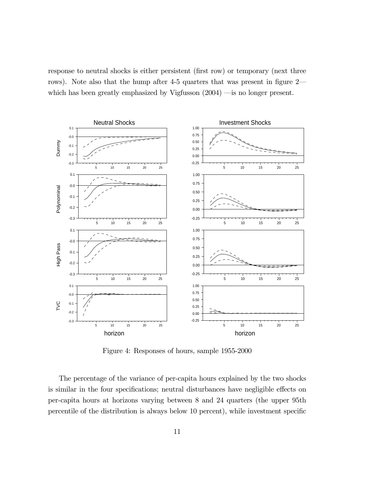response to neutral shocks is either persistent (first row) or temporary (next three rows). Note also that the hump after 4-5 quarters that was present in figure 2– which has been greatly emphasized by Vigfusson  $(2004)$  —is no longer present.



Figure 4: Responses of hours, sample 1955-2000

The percentage of the variance of per-capita hours explained by the two shocks is similar in the four specifications; neutral disturbances have negligible effects on per-capita hours at horizons varying between 8 and 24 quarters (the upper 95th percentile of the distribution is always below 10 percent), while investment specific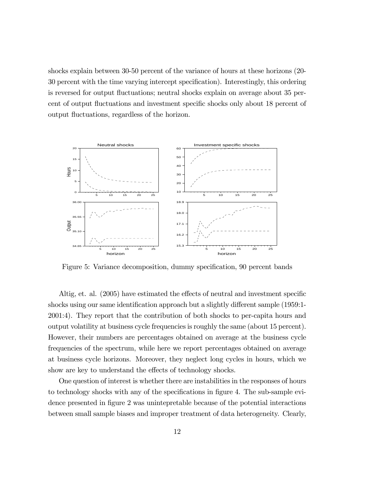shocks explain between 30-50 percent of the variance of hours at these horizons (20- 30 percent with the time varying intercept specification). Interestingly, this ordering is reversed for output fluctuations; neutral shocks explain on average about 35 percent of output fluctuations and investment specific shocks only about 18 percent of output fluctuations, regardless of the horizon.



Figure 5: Variance decomposition, dummy specification, 90 percent bands

Altig, et. al. (2005) have estimated the effects of neutral and investment specific shocks using our same identification approach but a slightly different sample (1959:1- 2001:4). They report that the contribution of both shocks to per-capita hours and output volatility at business cycle frequencies is roughly the same (about 15 percent). However, their numbers are percentages obtained on average at the business cycle frequencies of the spectrum, while here we report percentages obtained on average at business cycle horizons. Moreover, they neglect long cycles in hours, which we show are key to understand the effects of technology shocks.

One question of interest is whether there are instabilities in the responses of hours to technology shocks with any of the specifications in figure 4. The sub-sample evidence presented in figure 2 was unintepretable because of the potential interactions between small sample biases and improper treatment of data heterogeneity. Clearly,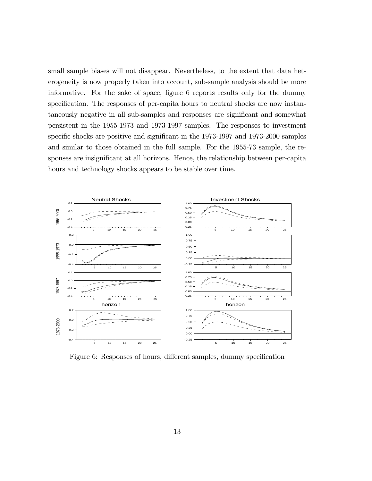small sample biases will not disappear. Nevertheless, to the extent that data heterogeneity is now properly taken into account, sub-sample analysis should be more informative. For the sake of space, figure 6 reports results only for the dummy specification. The responses of per-capita hours to neutral shocks are now instantaneously negative in all sub-samples and responses are significant and somewhat persistent in the 1955-1973 and 1973-1997 samples. The responses to investment specific shocks are positive and significant in the 1973-1997 and 1973-2000 samples and similar to those obtained in the full sample. For the 1955-73 sample, the responses are insignificant at all horizons. Hence, the relationship between per-capita hours and technology shocks appears to be stable over time.



Figure 6: Responses of hours, different samples, dummy specification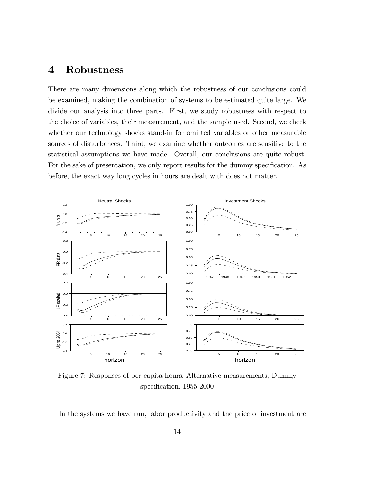#### 4 Robustness

There are many dimensions along which the robustness of our conclusions could be examined, making the combination of systems to be estimated quite large. We divide our analysis into three parts. First, we study robustness with respect to the choice of variables, their measurement, and the sample used. Second, we check whether our technology shocks stand-in for omitted variables or other measurable sources of disturbances. Third, we examine whether outcomes are sensitive to the statistical assumptions we have made. Overall, our conclusions are quite robust. For the sake of presentation, we only report results for the dummy specification. As before, the exact way long cycles in hours are dealt with does not matter.



Figure 7: Responses of per-capita hours, Alternative measurements, Dummy specification, 1955-2000

In the systems we have run, labor productivity and the price of investment are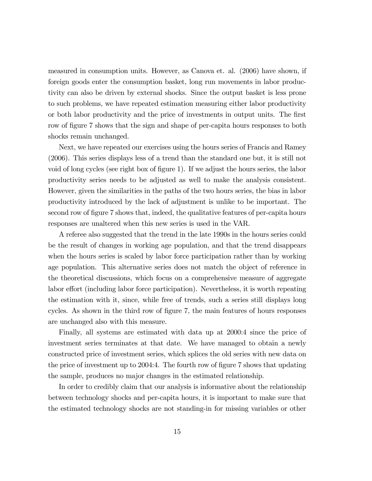measured in consumption units. However, as Canova et. al. (2006) have shown, if foreign goods enter the consumption basket, long run movements in labor productivity can also be driven by external shocks. Since the output basket is less prone to such problems, we have repeated estimation measuring either labor productivity or both labor productivity and the price of investments in output units. The first row of figure 7 shows that the sign and shape of per-capita hours responses to both shocks remain unchanged.

Next, we have repeated our exercises using the hours series of Francis and Ramey (2006). This series displays less of a trend than the standard one but, it is still not void of long cycles (see right box of figure 1). If we adjust the hours series, the labor productivity series needs to be adjusted as well to make the analysis consistent. However, given the similarities in the paths of the two hours series, the bias in labor productivity introduced by the lack of adjustment is unlike to be important. The second row of figure 7 shows that, indeed, the qualitative features of per-capita hours responses are unaltered when this new series is used in the VAR.

A referee also suggested that the trend in the late 1990s in the hours series could be the result of changes in working age population, and that the trend disappears when the hours series is scaled by labor force participation rather than by working age population. This alternative series does not match the object of reference in the theoretical discussions, which focus on a comprehensive measure of aggregate labor effort (including labor force participation). Nevertheless, it is worth repeating the estimation with it, since, while free of trends, such a series still displays long cycles. As shown in the third row of figure 7, the main features of hours responses are unchanged also with this measure.

Finally, all systems are estimated with data up at 2000:4 since the price of investment series terminates at that date. We have managed to obtain a newly constructed price of investment series, which splices the old series with new data on the price of investment up to 2004:4. The fourth row of figure 7 shows that updating the sample, produces no major changes in the estimated relationship.

In order to credibly claim that our analysis is informative about the relationship between technology shocks and per-capita hours, it is important to make sure that the estimated technology shocks are not standing-in for missing variables or other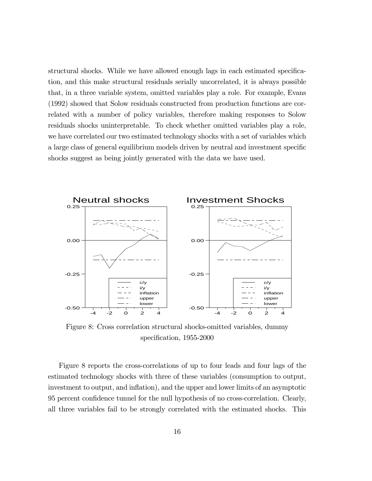structural shocks. While we have allowed enough lags in each estimated specification, and this make structural residuals serially uncorrelated, it is always possible that, in a three variable system, omitted variables play a role. For example, Evans (1992) showed that Solow residuals constructed from production functions are correlated with a number of policy variables, therefore making responses to Solow residuals shocks uninterpretable. To check whether omitted variables play a role, we have correlated our two estimated technology shocks with a set of variables which a large class of general equilibrium models driven by neutral and investment specific shocks suggest as being jointly generated with the data we have used.



Figure 8: Cross correlation structural shocks-omitted variables, dummy specification, 1955-2000

Figure 8 reports the cross-correlations of up to four leads and four lags of the estimated technology shocks with three of these variables (consumption to output, investment to output, and inflation), and the upper and lower limits of an asymptotic 95 percent confidence tunnel for the null hypothesis of no cross-correlation. Clearly, all three variables fail to be strongly correlated with the estimated shocks. This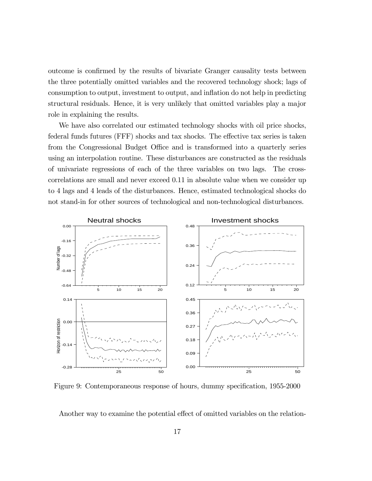outcome is confirmed by the results of bivariate Granger causality tests between the three potentially omitted variables and the recovered technology shock; lags of consumption to output, investment to output, and inflation do not help in predicting structural residuals. Hence, it is very unlikely that omitted variables play a major role in explaining the results.

We have also correlated our estimated technology shocks with oil price shocks, federal funds futures (FFF) shocks and tax shocks. The effective tax series is taken from the Congressional Budget Office and is transformed into a quarterly series using an interpolation routine. These disturbances are constructed as the residuals of univariate regressions of each of the three variables on two lags. The crosscorrelations are small and never exceed 0.11 in absolute value when we consider up to 4 lags and 4 leads of the disturbances. Hence, estimated technological shocks do not stand-in for other sources of technological and non-technological disturbances.



Figure 9: Contemporaneous response of hours, dummy specification, 1955-2000

Another way to examine the potential effect of omitted variables on the relation-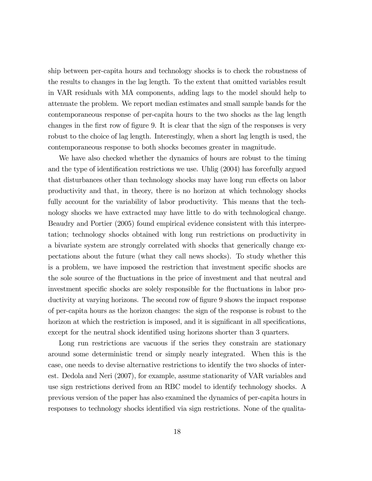ship between per-capita hours and technology shocks is to check the robustness of the results to changes in the lag length. To the extent that omitted variables result in VAR residuals with MA components, adding lags to the model should help to attenuate the problem. We report median estimates and small sample bands for the contemporaneous response of per-capita hours to the two shocks as the lag length changes in the first row of figure 9. It is clear that the sign of the responses is very robust to the choice of lag length. Interestingly, when a short lag length is used, the contemporaneous response to both shocks becomes greater in magnitude.

We have also checked whether the dynamics of hours are robust to the timing and the type of identification restrictions we use. Uhlig (2004) has forcefully argued that disturbances other than technology shocks may have long run effects on labor productivity and that, in theory, there is no horizon at which technology shocks fully account for the variability of labor productivity. This means that the technology shocks we have extracted may have little to do with technological change. Beaudry and Portier (2005) found empirical evidence consistent with this interpretation; technology shocks obtained with long run restrictions on productivity in a bivariate system are strongly correlated with shocks that generically change expectations about the future (what they call news shocks). To study whether this is a problem, we have imposed the restriction that investment specific shocks are the sole source of the fluctuations in the price of investment and that neutral and investment specific shocks are solely responsible for the fluctuations in labor productivity at varying horizons. The second row of figure 9 shows the impact response of per-capita hours as the horizon changes: the sign of the response is robust to the horizon at which the restriction is imposed, and it is significant in all specifications, except for the neutral shock identified using horizons shorter than 3 quarters.

Long run restrictions are vacuous if the series they constrain are stationary around some deterministic trend or simply nearly integrated. When this is the case, one needs to devise alternative restrictions to identify the two shocks of interest. Dedola and Neri (2007), for example, assume stationarity of VAR variables and use sign restrictions derived from an RBC model to identify technology shocks. A previous version of the paper has also examined the dynamics of per-capita hours in responses to technology shocks identified via sign restrictions. None of the qualita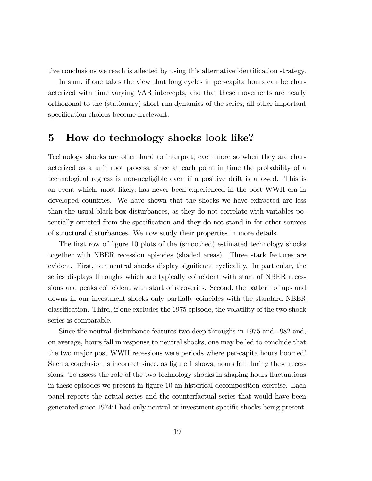tive conclusions we reach is affected by using this alternative identification strategy.

In sum, if one takes the view that long cycles in per-capita hours can be characterized with time varying VAR intercepts, and that these movements are nearly orthogonal to the (stationary) short run dynamics of the series, all other important specification choices become irrelevant.

#### 5 How do technology shocks look like?

Technology shocks are often hard to interpret, even more so when they are characterized as a unit root process, since at each point in time the probability of a technological regress is non-negligible even if a positive drift is allowed. This is an event which, most likely, has never been experienced in the post WWII era in developed countries. We have shown that the shocks we have extracted are less than the usual black-box disturbances, as they do not correlate with variables potentially omitted from the specification and they do not stand-in for other sources of structural disturbances. We now study their properties in more details.

The first row of figure 10 plots of the (smoothed) estimated technology shocks together with NBER recession episodes (shaded areas). Three stark features are evident. First, our neutral shocks display significant cyclicality. In particular, the series displays throughs which are typically coincident with start of NBER recessions and peaks coincident with start of recoveries. Second, the pattern of ups and downs in our investment shocks only partially coincides with the standard NBER classification. Third, if one excludes the 1975 episode, the volatility of the two shock series is comparable.

Since the neutral disturbance features two deep throughs in 1975 and 1982 and, on average, hours fall in response to neutral shocks, one may be led to conclude that the two major post WWII recessions were periods where per-capita hours boomed! Such a conclusion is incorrect since, as figure 1 shows, hours fall during these recessions. To assess the role of the two technology shocks in shaping hours fluctuations in these episodes we present in figure 10 an historical decomposition exercise. Each panel reports the actual series and the counterfactual series that would have been generated since 1974:1 had only neutral or investment specific shocks being present.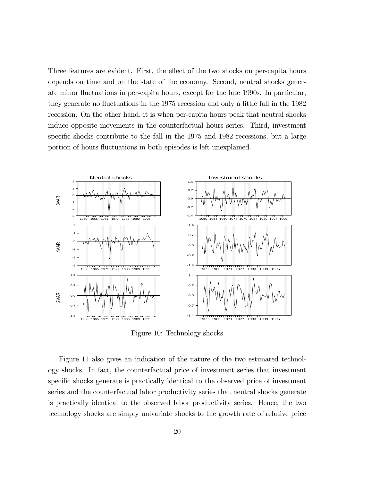Three features are evident. First, the effect of the two shocks on per-capita hours depends on time and on the state of the economy. Second, neutral shocks generate minor fluctuations in per-capita hours, except for the late 1990s. In particular, they generate no fluctuations in the 1975 recession and only a little fall in the 1982 recession. On the other hand, it is when per-capita hours peak that neutral shocks induce opposite movements in the counterfactual hours series. Third, investment specific shocks contribute to the fall in the 1975 and 1982 recessions, but a large portion of hours fluctuations in both episodes is left unexplained.



Figure 10: Technology shocks

Figure 11 also gives an indication of the nature of the two estimated technology shocks. In fact, the counterfactual price of investment series that investment specific shocks generate is practically identical to the observed price of investment series and the counterfactual labor productivity series that neutral shocks generate is practically identical to the observed labor productivity series. Hence, the two technology shocks are simply univariate shocks to the growth rate of relative price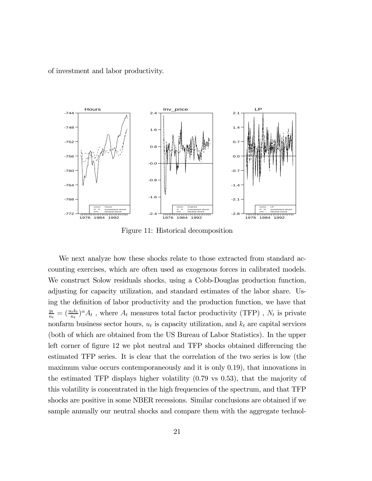of investment and labor productivity.



Figure 11: Historical decomposition

We next analyze how these shocks relate to those extracted from standard accounting exercises, which are often used as exogenous forces in calibrated models. We construct Solow residuals shocks, using a Cobb-Douglas production function, adjusting for capacity utilization, and standard estimates of the labor share. Using the definition of labor productivity and the production function, we have that  $\frac{y_t}{n_t} = (\frac{u_t k_t}{n_t})^{\alpha} A_t$ , where  $A_t$  measures total factor productivity (TFP),  $N_t$  is private nonfarm business sector hours,  $u_t$  is capacity utilization, and  $k_t$  are capital services (both of which are obtained from the US Bureau of Labor Statistics). In the upper left corner of figure 12 we plot neutral and TFP shocks obtained differencing the estimated TFP series. It is clear that the correlation of the two series is low (the maximum value occurs contemporaneously and it is only 0.19), that innovations in the estimated TFP displays higher volatility (0.79 vs 0.53), that the majority of this volatility is concentrated in the high frequencies of the spectrum, and that TFP shocks are positive in some NBER recessions. Similar conclusions are obtained if we sample annually our neutral shocks and compare them with the aggregate technol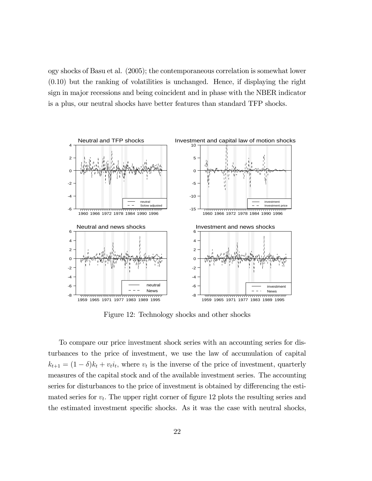ogy shocks of Basu et al. (2005); the contemporaneous correlation is somewhat lower (0.10) but the ranking of volatilities is unchanged. Hence, if displaying the right sign in major recessions and being coincident and in phase with the NBER indicator is a plus, our neutral shocks have better features than standard TFP shocks.



Figure 12: Technology shocks and other shocks

To compare our price investment shock series with an accounting series for disturbances to the price of investment, we use the law of accumulation of capital  $k_{t+1} = (1 - \delta)k_t + v_t i_t$ , where  $v_t$  is the inverse of the price of investment, quarterly measures of the capital stock and of the available investment series. The accounting series for disturbances to the price of investment is obtained by differencing the estimated series for  $v_t$ . The upper right corner of figure 12 plots the resulting series and the estimated investment specific shocks. As it was the case with neutral shocks,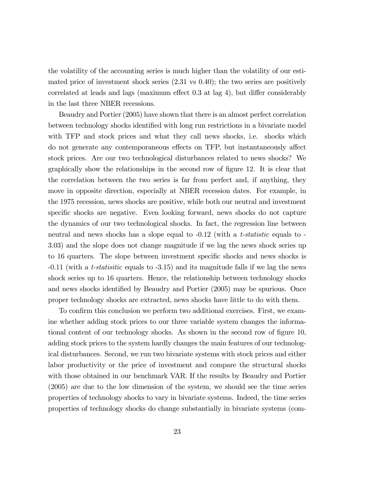the volatility of the accounting series is much higher than the volatility of our estimated price of investment shock series  $(2.31 \text{ vs } 0.40)$ ; the two series are positively correlated at leads and lags (maximum effect 0.3 at lag 4), but differ considerably in the last three NBER recessions.

Beaudry and Portier (2005) have shown that there is an almost perfect correlation between technology shocks identified with long run restrictions in a bivariate model with TFP and stock prices and what they call news shocks, i.e. shocks which do not generate any contemporaneous effects on TFP, but instantaneously affect stock prices. Are our two technological disturbances related to news shocks? We graphically show the relationships in the second row of figure 12. It is clear that the correlation between the two series is far from perfect and, if anything, they move in opposite direction, especially at NBER recession dates. For example, in the 1975 recession, news shocks are positive, while both our neutral and investment specific shocks are negative. Even looking forward, news shocks do not capture the dynamics of our two technological shocks. In fact, the regression line between neutral and news shocks has a slope equal to  $-0.12$  (with a t-statistic equals to  $-$ 3.03) and the slope does not change magnitude if we lag the news shock series up to 16 quarters. The slope between investment specific shocks and news shocks is -0.11 (with a t-statisitic equals to -3.15) and its magnitude falls if we lag the news shock series up to 16 quarters. Hence, the relationship between technology shocks and news shocks identified by Beaudry and Portier (2005) may be spurious. Once proper technology shocks are extracted, news shocks have little to do with them.

To confirm this conclusion we perform two additional exercises. First, we examine whether adding stock prices to our three variable system changes the informational content of our technology shocks. As shown in the second row of figure 10, adding stock prices to the system hardly changes the main features of our technological disturbances. Second, we run two bivariate systems with stock prices and either labor productivity or the price of investment and compare the structural shocks with those obtained in our benchmark VAR. If the results by Beaudry and Portier (2005) are due to the low dimension of the system, we should see the time series properties of technology shocks to vary in bivariate systems. Indeed, the time series properties of technology shocks do change substantially in bivariate systems (com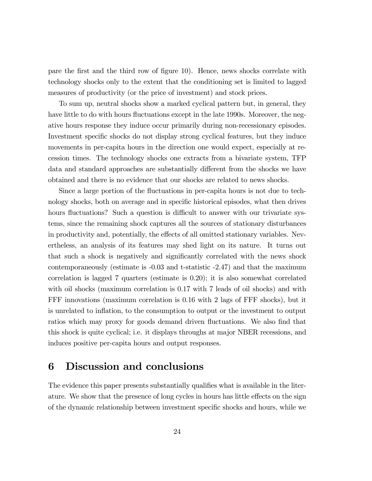pare the first and the third row of figure 10). Hence, news shocks correlate with technology shocks only to the extent that the conditioning set is limited to lagged measures of productivity (or the price of investment) and stock prices.

To sum up, neutral shocks show a marked cyclical pattern but, in general, they have little to do with hours fluctuations except in the late 1990s. Moreover, the negative hours response they induce occur primarily during non-recessionary episodes. Investment specific shocks do not display strong cyclical features, but they induce movements in per-capita hours in the direction one would expect, especially at recession times. The technology shocks one extracts from a bivariate system, TFP data and standard approaches are substantially different from the shocks we have obtained and there is no evidence that our shocks are related to news shocks.

Since a large portion of the fluctuations in per-capita hours is not due to technology shocks, both on average and in specific historical episodes, what then drives hours fluctuations? Such a question is difficult to answer with our trivariate systems, since the remaining shock captures all the sources of stationary disturbances in productivity and, potentially, the effects of all omitted stationary variables. Nevertheless, an analysis of its features may shed light on its nature. It turns out that such a shock is negatively and significantly correlated with the news shock contemporaneously (estimate is -0.03 and t-statistic -2.47) and that the maximum correlation is lagged 7 quarters (estimate is 0.20); it is also somewhat correlated with oil shocks (maximum correlation is 0.17 with 7 leads of oil shocks) and with FFF innovations (maximum correlation is 0.16 with 2 lags of FFF shocks), but it is unrelated to inflation, to the consumption to output or the investment to output ratios which may proxy for goods demand driven fluctuations. We also find that this shock is quite cyclical; i.e. it displays throughs at major NBER recessions, and induces positive per-capita hours and output responses.

## 6 Discussion and conclusions

The evidence this paper presents substantially qualifies what is available in the literature. We show that the presence of long cycles in hours has little effects on the sign of the dynamic relationship between investment specific shocks and hours, while we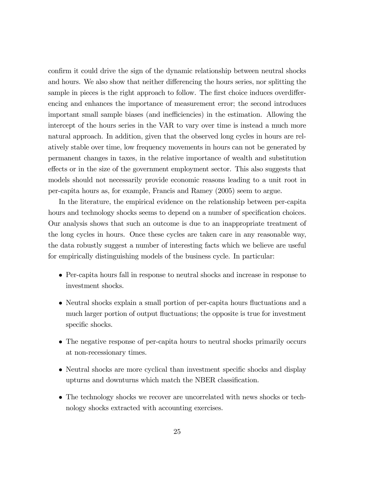confirm it could drive the sign of the dynamic relationship between neutral shocks and hours. We also show that neither differencing the hours series, nor splitting the sample in pieces is the right approach to follow. The first choice induces overdifferencing and enhances the importance of measurement error; the second introduces important small sample biases (and inefficiencies) in the estimation. Allowing the intercept of the hours series in the VAR to vary over time is instead a much more natural approach. In addition, given that the observed long cycles in hours are relatively stable over time, low frequency movements in hours can not be generated by permanent changes in taxes, in the relative importance of wealth and substitution effects or in the size of the government employment sector. This also suggests that models should not necessarily provide economic reasons leading to a unit root in per-capita hours as, for example, Francis and Ramey (2005) seem to argue.

In the literature, the empirical evidence on the relationship between per-capita hours and technology shocks seems to depend on a number of specification choices. Our analysis shows that such an outcome is due to an inappropriate treatment of the long cycles in hours. Once these cycles are taken care in any reasonable way, the data robustly suggest a number of interesting facts which we believe are useful for empirically distinguishing models of the business cycle. In particular:

- Per-capita hours fall in response to neutral shocks and increase in response to investment shocks.
- Neutral shocks explain a small portion of per-capita hours fluctuations and a much larger portion of output fluctuations; the opposite is true for investment specific shocks.
- The negative response of per-capita hours to neutral shocks primarily occurs at non-recessionary times.
- Neutral shocks are more cyclical than investment specific shocks and display upturns and downturns which match the NBER classification.
- The technology shocks we recover are uncorrelated with news shocks or technology shocks extracted with accounting exercises.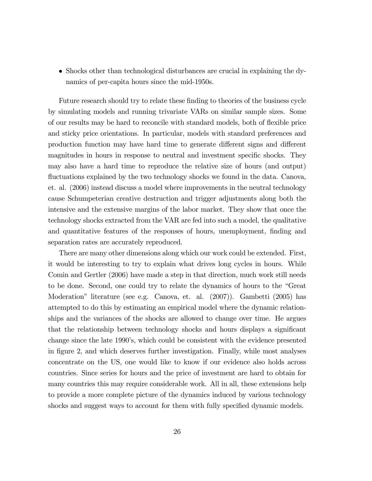• Shocks other than technological disturbances are crucial in explaining the dynamics of per-capita hours since the mid-1950s.

Future research should try to relate these finding to theories of the business cycle by simulating models and running trivariate VARs on similar sample sizes. Some of our results may be hard to reconcile with standard models, both of flexible price and sticky price orientations. In particular, models with standard preferences and production function may have hard time to generate different signs and different magnitudes in hours in response to neutral and investment specific shocks. They may also have a hard time to reproduce the relative size of hours (and output) fluctuations explained by the two technology shocks we found in the data. Canova, et. al. (2006) instead discuss a model where improvements in the neutral technology cause Schumpeterian creative destruction and trigger adjustments along both the intensive and the extensive margins of the labor market. They show that once the technology shocks extracted from the VAR are fed into such a model, the qualitative and quantitative features of the responses of hours, unemployment, finding and separation rates are accurately reproduced.

There are many other dimensions along which our work could be extended. First, it would be interesting to try to explain what drives long cycles in hours. While Comin and Gertler (2006) have made a step in that direction, much work still needs to be done. Second, one could try to relate the dynamics of hours to the "Great Moderation" literature (see e.g. Canova, et. al. (2007)). Gambetti (2005) has attempted to do this by estimating an empirical model where the dynamic relationships and the variances of the shocks are allowed to change over time. He argues that the relationship between technology shocks and hours displays a significant change since the late 1990's, which could be consistent with the evidence presented in figure 2, and which deserves further investigation. Finally, while most analyses concentrate on the US, one would like to know if our evidence also holds across countries. Since series for hours and the price of investment are hard to obtain for many countries this may require considerable work. All in all, these extensions help to provide a more complete picture of the dynamics induced by various technology shocks and suggest ways to account for them with fully specified dynamic models.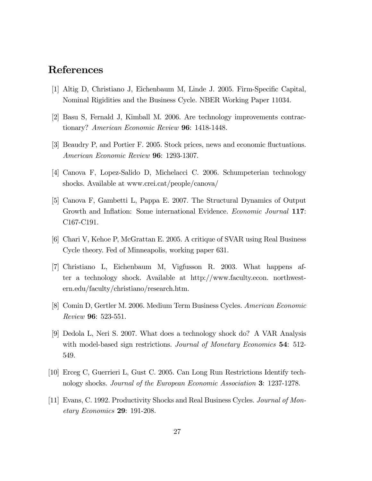## References

- [1] Altig D, Christiano J, Eichenbaum M, Linde J. 2005. Firm-Specific Capital, Nominal Rigidities and the Business Cycle. NBER Working Paper 11034.
- [2] Basu S, Fernald J, Kimball M. 2006. Are technology improvements contractionary? American Economic Review 96: 1418-1448.
- [3] Beaudry P, and Portier F. 2005. Stock prices, news and economic fluctuations. American Economic Review 96: 1293-1307.
- [4] Canova F, Lopez-Salido D, Michelacci C. 2006. Schumpeterian technology shocks. Available at www.crei.cat/people/canova/
- [5] Canova F, Gambetti L, Pappa E. 2007. The Structural Dynamics of Output Growth and Inflation: Some international Evidence. *Economic Journal* 117: C167-C191.
- [6] Chari V, Kehoe P, McGrattan E. 2005. A critique of SVAR using Real Business Cycle theory. Fed of Minneapolis, working paper 631.
- [7] Christiano L, Eichenbaum M, Vigfusson R. 2003. What happens after a technology shock. Available at http://www.faculty.econ. northwestern.edu/faculty/christiano/research.htm.
- [8] Comin D, Gertler M. 2006. Medium Term Business Cycles. American Economic Review 96: 523-551.
- [9] Dedola L, Neri S. 2007. What does a technology shock do? A VAR Analysis with model-based sign restrictions. Journal of Monetary Economics 54: 512-549.
- [10] Erceg C, Guerrieri L, Gust C. 2005. Can Long Run Restrictions Identify technology shocks. Journal of the European Economic Association 3: 1237-1278.
- [11] Evans, C. 1992. Productivity Shocks and Real Business Cycles. Journal of Monetary Economics 29: 191-208.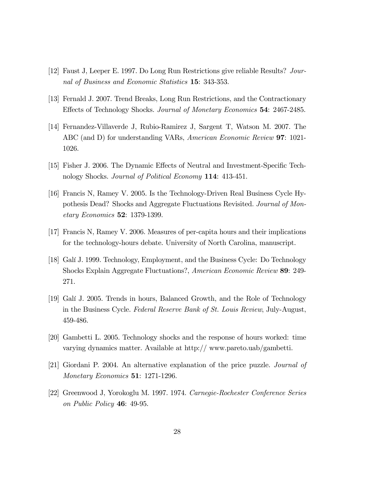- [12] Faust J, Leeper E. 1997. Do Long Run Restrictions give reliable Results? Journal of Business and Economic Statistics 15: 343-353.
- [13] Fernald J. 2007. Trend Breaks, Long Run Restrictions, and the Contractionary Effects of Technology Shocks. Journal of Monetary Economics 54: 2467-2485.
- [14] Fernandez-Villaverde J, Rubio-Ramirez J, Sargent T, Watson M. 2007. The ABC (and D) for understanding VARs, American Economic Review 97: 1021- 1026.
- [15] Fisher J. 2006. The Dynamic Effects of Neutral and Investment-Specific Technology Shocks. Journal of Political Economy 114: 413-451.
- [16] Francis N, Ramey V. 2005. Is the Technology-Driven Real Business Cycle Hypothesis Dead? Shocks and Aggregate Fluctuations Revisited. Journal of Monetary Economics 52: 1379-1399.
- [17] Francis N, Ramey V. 2006. Measures of per-capita hours and their implications for the technology-hours debate. University of North Carolina, manuscript.
- [18] Galí J. 1999. Technology, Employment, and the Business Cycle: Do Technology Shocks Explain Aggregate Fluctuations?, American Economic Review 89: 249- 271.
- [19] Galí J. 2005. Trends in hours, Balanced Growth, and the Role of Technology in the Business Cycle. Federal Reserve Bank of St. Louis Review, July-August, 459-486.
- [20] Gambetti L. 2005. Technology shocks and the response of hours worked: time varying dynamics matter. Available at http:// www.pareto.uab/gambetti.
- [21] Giordani P. 2004. An alternative explanation of the price puzzle. Journal of Monetary Economics **51**: 1271-1296.
- [22] Greenwood J, Yorokoglu M. 1997. 1974. Carnegie-Rochester Conference Series on Public Policy 46: 49-95.